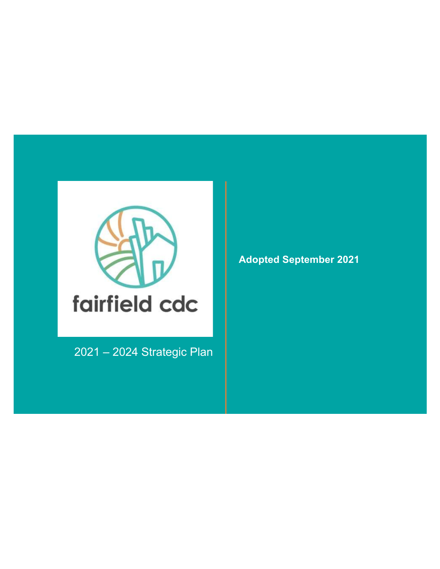

2021 – 2024 Strategic Plan

**Adopted September 2021**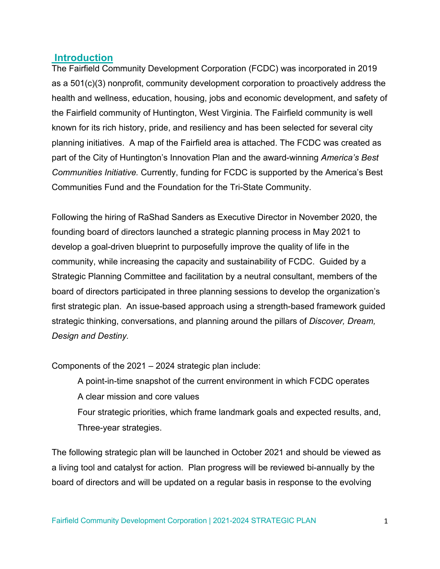### **Introduction**

The Fairfield Community Development Corporation (FCDC) was incorporated in 2019 as a 501(c)(3) nonprofit, community development corporation to proactively address the health and wellness, education, housing, jobs and economic development, and safety of the Fairfield community of Huntington, West Virginia. The Fairfield community is well known for its rich history, pride, and resiliency and has been selected for several city planning initiatives. A map of the Fairfield area is attached. The FCDC was created as part of the City of Huntington's Innovation Plan and the award-winning *America's Best Communities Initiative.* Currently, funding for FCDC is supported by the America's Best Communities Fund and the Foundation for the Tri-State Community.

Following the hiring of RaShad Sanders as Executive Director in November 2020, the founding board of directors launched a strategic planning process in May 2021 to develop a goal-driven blueprint to purposefully improve the quality of life in the community, while increasing the capacity and sustainability of FCDC. Guided by a Strategic Planning Committee and facilitation by a neutral consultant, members of the board of directors participated in three planning sessions to develop the organization's first strategic plan. An issue-based approach using a strength-based framework guided strategic thinking, conversations, and planning around the pillars of *Discover, Dream, Design and Destiny.* 

Components of the 2021 – 2024 strategic plan include:

 A point-in-time snapshot of the current environment in which FCDC operates A clear mission and core values Four strategic priorities, which frame landmark goals and expected results, and, Three-year strategies.

The following strategic plan will be launched in October 2021 and should be viewed as a living tool and catalyst for action. Plan progress will be reviewed bi-annually by the board of directors and will be updated on a regular basis in response to the evolving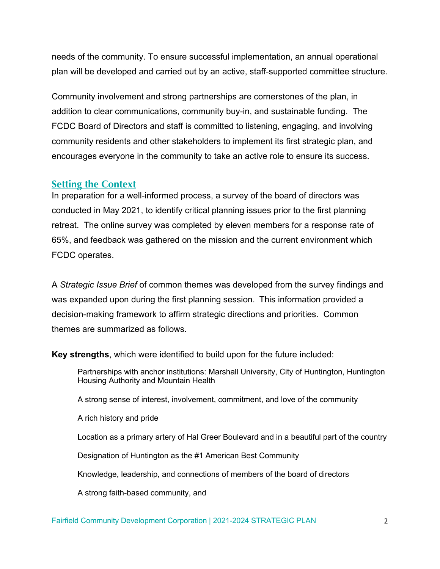needs of the community. To ensure successful implementation, an annual operational plan will be developed and carried out by an active, staff-supported committee structure.

Community involvement and strong partnerships are cornerstones of the plan, in addition to clear communications, community buy-in, and sustainable funding. The FCDC Board of Directors and staff is committed to listening, engaging, and involving community residents and other stakeholders to implement its first strategic plan, and encourages everyone in the community to take an active role to ensure its success.

### **Setting the Context**

In preparation for a well-informed process, a survey of the board of directors was conducted in May 2021, to identify critical planning issues prior to the first planning retreat. The online survey was completed by eleven members for a response rate of 65%, and feedback was gathered on the mission and the current environment which FCDC operates.

A *Strategic Issue Brief* of common themes was developed from the survey findings and was expanded upon during the first planning session. This information provided a decision-making framework to affirm strategic directions and priorities. Common themes are summarized as follows.

**Key strengths**, which were identified to build upon for the future included:

 Partnerships with anchor institutions: Marshall University, City of Huntington, Huntington Housing Authority and Mountain Health

A strong sense of interest, involvement, commitment, and love of the community

A rich history and pride

Location as a primary artery of Hal Greer Boulevard and in a beautiful part of the country

Designation of Huntington as the #1 American Best Community

Knowledge, leadership, and connections of members of the board of directors

A strong faith-based community, and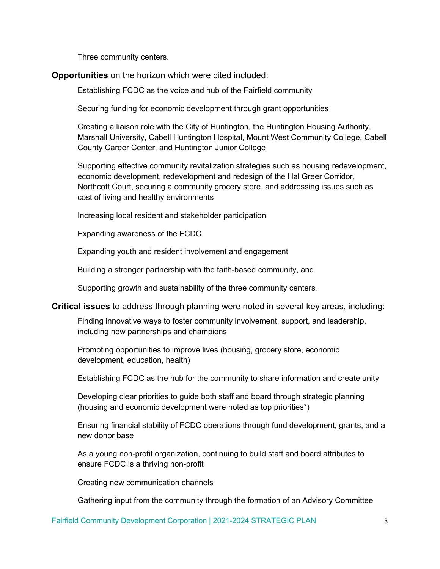Three community centers.

#### **Opportunities** on the horizon which were cited included:

Establishing FCDC as the voice and hub of the Fairfield community

Securing funding for economic development through grant opportunities

 Creating a liaison role with the City of Huntington, the Huntington Housing Authority, Marshall University, Cabell Huntington Hospital, Mount West Community College, Cabell County Career Center, and Huntington Junior College

 Supporting effective community revitalization strategies such as housing redevelopment, economic development, redevelopment and redesign of the Hal Greer Corridor, Northcott Court, securing a community grocery store, and addressing issues such as cost of living and healthy environments

Increasing local resident and stakeholder participation

Expanding awareness of the FCDC

Expanding youth and resident involvement and engagement

Building a stronger partnership with the faith-based community, and

Supporting growth and sustainability of the three community centers.

**Critical issues** to address through planning were noted in several key areas, including:

 Finding innovative ways to foster community involvement, support, and leadership, including new partnerships and champions

 Promoting opportunities to improve lives (housing, grocery store, economic development, education, health)

Establishing FCDC as the hub for the community to share information and create unity

 Developing clear priorities to guide both staff and board through strategic planning (housing and economic development were noted as top priorities\*)

 Ensuring financial stability of FCDC operations through fund development, grants, and a new donor base

 As a young non-profit organization, continuing to build staff and board attributes to ensure FCDC is a thriving non-profit

Creating new communication channels

Gathering input from the community through the formation of an Advisory Committee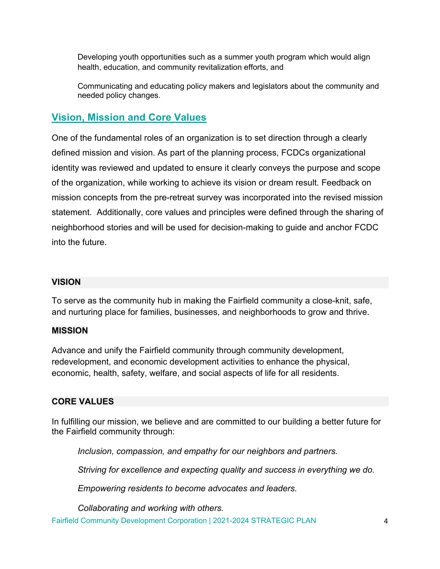Developing youth opportunities such as a summer youth program which would align health, education, and community revitalization efforts, and

 Communicating and educating policy makers and legislators about the community and needed policy changes.

# **Vision, Mission and Core Values**

One of the fundamental roles of an organization is to set direction through a clearly defined mission and vision. As part of the planning process, FCDCs organizational identity was reviewed and updated to ensure it clearly conveys the purpose and scope of the organization, while working to achieve its vision or dream result. Feedback on mission concepts from the pre-retreat survey was incorporated into the revised mission statement. Additionally, core values and principles were defined through the sharing of neighborhood stories and will be used for decision-making to guide and anchor FCDC into the future.

#### **VISION**

To serve as the community hub in making the Fairfield community a close-knit, safe, and nurturing place for families, businesses, and neighborhoods to grow and thrive.

#### **MISSION**

Advance and unify the Fairfield community through community development, redevelopment, and economic development activities to enhance the physical, economic, health, safety, welfare, and social aspects of life for all residents.

#### **CORE VALUES**

In fulfilling our mission, we believe and are committed to our building a better future for the Fairfield community through:

*Inclusion, compassion, and empathy for our neighbors and partners.*

*Striving for excellence and expecting quality and success in everything we do.*

*Empowering residents to become advocates and leaders.*

*Collaborating and working with others.* 

Fairfield Community Development Corporation | 2021-2024 STRATEGIC PLAN 4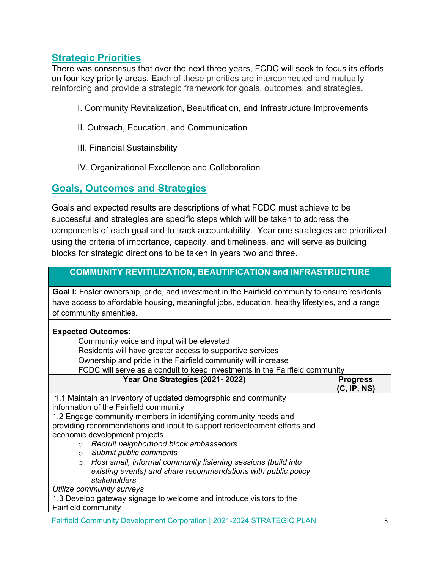# **Strategic Priorities**

There was consensus that over the next three years, FCDC will seek to focus its efforts on four key priority areas. Each of these priorities are interconnected and mutually reinforcing and provide a strategic framework for goals, outcomes, and strategies.

- I. Community Revitalization, Beautification, and Infrastructure Improvements
- II. Outreach, Education, and Communication
- III. Financial Sustainability
- IV. Organizational Excellence and Collaboration

# **Goals, Outcomes and Strategies**

Goals and expected results are descriptions of what FCDC must achieve to be successful and strategies are specific steps which will be taken to address the components of each goal and to track accountability. Year one strategies are prioritized using the criteria of importance, capacity, and timeliness, and will serve as building blocks for strategic directions to be taken in years two and three.

### **COMMUNITY REVITILIZATION, BEAUTIFICATION and INFRASTRUCTURE**

Goal I: Foster ownership, pride, and investment in the Fairfield community to ensure residents have access to affordable housing, meaningful jobs, education, healthy lifestyles, and a range of community amenities.

#### **Expected Outcomes:**

Community voice and input will be elevated

- Residents will have greater access to supportive services
- Ownership and pride in the Fairfield community will increase
- FCDC will serve as a conduit to keep investments in the Fairfield community

| Year One Strategies (2021-2022)                                          | <b>Progress</b><br>(C, IP, NS) |
|--------------------------------------------------------------------------|--------------------------------|
| 1.1 Maintain an inventory of updated demographic and community           |                                |
| information of the Fairfield community                                   |                                |
| 1.2 Engage community members in identifying community needs and          |                                |
| providing recommendations and input to support redevelopment efforts and |                                |
| economic development projects                                            |                                |
| Recruit neighborhood block ambassadors<br>$\circ$                        |                                |
| Submit public comments<br>$\circ$                                        |                                |
| Host small, informal community listening sessions (build into<br>$\circ$ |                                |
| existing events) and share recommendations with public policy            |                                |
| stakeholders                                                             |                                |
| Utilize community surveys                                                |                                |
| 1.3 Develop gateway signage to welcome and introduce visitors to the     |                                |
| Fairfield community                                                      |                                |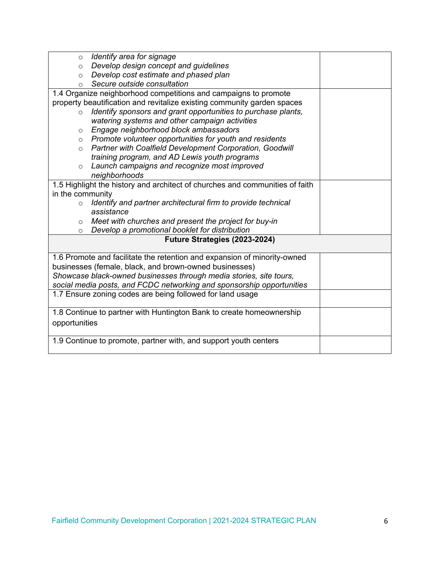| $\circ$                       | Identify area for signage                                                    |  |  |  |
|-------------------------------|------------------------------------------------------------------------------|--|--|--|
| $\circ$                       | Develop design concept and guidelines                                        |  |  |  |
| $\circ$                       | Develop cost estimate and phased plan                                        |  |  |  |
| $\circ$                       | Secure outside consultation                                                  |  |  |  |
|                               | 1.4 Organize neighborhood competitions and campaigns to promote              |  |  |  |
|                               | property beautification and revitalize existing community garden spaces      |  |  |  |
| $\circ$                       | Identify sponsors and grant opportunities to purchase plants,                |  |  |  |
|                               | watering systems and other campaign activities                               |  |  |  |
| $\circ$                       | Engage neighborhood block ambassadors                                        |  |  |  |
| $\circ$                       | Promote volunteer opportunities for youth and residents                      |  |  |  |
| $\circ$                       | <b>Partner with Coalfield Development Corporation, Goodwill</b>              |  |  |  |
|                               | training program, and AD Lewis youth programs                                |  |  |  |
| $\circ$                       | Launch campaigns and recognize most improved                                 |  |  |  |
|                               | neighborhoods                                                                |  |  |  |
|                               | 1.5 Highlight the history and architect of churches and communities of faith |  |  |  |
| in the community              |                                                                              |  |  |  |
| $\circ$                       | Identify and partner architectural firm to provide technical                 |  |  |  |
|                               | assistance                                                                   |  |  |  |
| $\circ$                       | Meet with churches and present the project for buy-in                        |  |  |  |
| $\circ$                       | Develop a promotional booklet for distribution                               |  |  |  |
| Future Strategies (2023-2024) |                                                                              |  |  |  |
|                               | 1.6 Promote and facilitate the retention and expansion of minority-owned     |  |  |  |
|                               | businesses (female, black, and brown-owned businesses)                       |  |  |  |
|                               | Showcase black-owned businesses through media stories, site tours,           |  |  |  |
|                               | social media posts, and FCDC networking and sponsorship opportunities        |  |  |  |
|                               | 1.7 Ensure zoning codes are being followed for land usage                    |  |  |  |
|                               | 1.8 Continue to partner with Huntington Bank to create homeownership         |  |  |  |
| opportunities                 |                                                                              |  |  |  |
|                               |                                                                              |  |  |  |
|                               | 1.9 Continue to promote, partner with, and support youth centers             |  |  |  |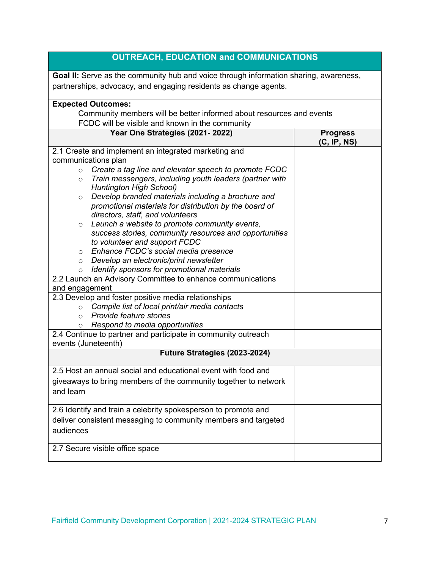| <b>OUTREACH, EDUCATION and COMMUNICATIONS</b>                                                                                                                                                                                                                                                                                                                                                                                                                                                                                                                                                                                                                                                                                                                                                                                                                                                                                                                                                                                                                                                                           |                                |  |  |  |
|-------------------------------------------------------------------------------------------------------------------------------------------------------------------------------------------------------------------------------------------------------------------------------------------------------------------------------------------------------------------------------------------------------------------------------------------------------------------------------------------------------------------------------------------------------------------------------------------------------------------------------------------------------------------------------------------------------------------------------------------------------------------------------------------------------------------------------------------------------------------------------------------------------------------------------------------------------------------------------------------------------------------------------------------------------------------------------------------------------------------------|--------------------------------|--|--|--|
| <b>Goal II:</b> Serve as the community hub and voice through information sharing, awareness,<br>partnerships, advocacy, and engaging residents as change agents.                                                                                                                                                                                                                                                                                                                                                                                                                                                                                                                                                                                                                                                                                                                                                                                                                                                                                                                                                        |                                |  |  |  |
| <b>Expected Outcomes:</b><br>Community members will be better informed about resources and events<br>FCDC will be visible and known in the community                                                                                                                                                                                                                                                                                                                                                                                                                                                                                                                                                                                                                                                                                                                                                                                                                                                                                                                                                                    |                                |  |  |  |
| Year One Strategies (2021-2022)                                                                                                                                                                                                                                                                                                                                                                                                                                                                                                                                                                                                                                                                                                                                                                                                                                                                                                                                                                                                                                                                                         | <b>Progress</b><br>(C, IP, NS) |  |  |  |
| 2.1 Create and implement an integrated marketing and<br>communications plan<br>Create a tag line and elevator speech to promote FCDC<br>$\circ$<br>Train messengers, including youth leaders (partner with<br>$\circ$<br>Huntington High School)<br>Develop branded materials including a brochure and<br>$\circ$<br>promotional materials for distribution by the board of<br>directors, staff, and volunteers<br>Launch a website to promote community events,<br>$\circ$<br>success stories, community resources and opportunities<br>to volunteer and support FCDC<br>Enhance FCDC's social media presence<br>$\circ$<br>Develop an electronic/print newsletter<br>$\circ$<br>Identify sponsors for promotional materials<br>$\circ$<br>2.2 Launch an Advisory Committee to enhance communications<br>and engagement<br>2.3 Develop and foster positive media relationships<br>Compile list of local print/air media contacts<br>$\circ$<br>Provide feature stories<br>$\circ$<br>Respond to media opportunities<br>$\circ$<br>2.4 Continue to partner and participate in community outreach<br>events (Juneteenth) |                                |  |  |  |
| Future Strategies (2023-2024)                                                                                                                                                                                                                                                                                                                                                                                                                                                                                                                                                                                                                                                                                                                                                                                                                                                                                                                                                                                                                                                                                           |                                |  |  |  |
| 2.5 Host an annual social and educational event with food and<br>giveaways to bring members of the community together to network<br>and learn                                                                                                                                                                                                                                                                                                                                                                                                                                                                                                                                                                                                                                                                                                                                                                                                                                                                                                                                                                           |                                |  |  |  |
| 2.6 Identify and train a celebrity spokesperson to promote and<br>deliver consistent messaging to community members and targeted<br>audiences                                                                                                                                                                                                                                                                                                                                                                                                                                                                                                                                                                                                                                                                                                                                                                                                                                                                                                                                                                           |                                |  |  |  |
| 2.7 Secure visible office space                                                                                                                                                                                                                                                                                                                                                                                                                                                                                                                                                                                                                                                                                                                                                                                                                                                                                                                                                                                                                                                                                         |                                |  |  |  |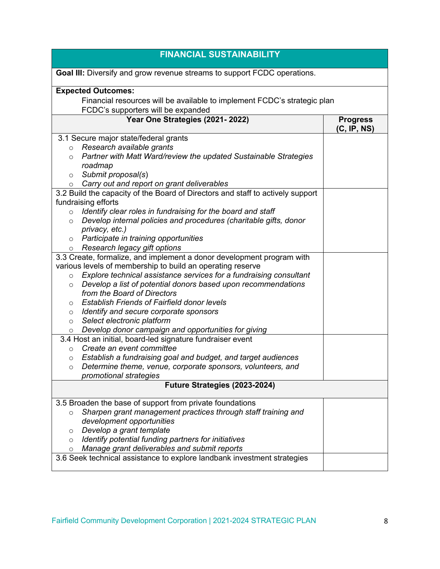| <b>FINANCIAL SUSTAINABILITY</b>                                                |                 |  |  |
|--------------------------------------------------------------------------------|-----------------|--|--|
| Goal III: Diversify and grow revenue streams to support FCDC operations.       |                 |  |  |
| <b>Expected Outcomes:</b>                                                      |                 |  |  |
| Financial resources will be available to implement FCDC's strategic plan       |                 |  |  |
| FCDC's supporters will be expanded                                             |                 |  |  |
| Year One Strategies (2021-2022)                                                | <b>Progress</b> |  |  |
|                                                                                | (C, IP, NS)     |  |  |
| 3.1 Secure major state/federal grants                                          |                 |  |  |
| Research available grants<br>$\circ$                                           |                 |  |  |
| Partner with Matt Ward/review the updated Sustainable Strategies<br>$\circ$    |                 |  |  |
| roadmap                                                                        |                 |  |  |
| Submit proposal(s)<br>$\circ$                                                  |                 |  |  |
| Carry out and report on grant deliverables<br>$\circ$                          |                 |  |  |
| 3.2 Build the capacity of the Board of Directors and staff to actively support |                 |  |  |
| fundraising efforts                                                            |                 |  |  |
| Identify clear roles in fundraising for the board and staff<br>$\circ$         |                 |  |  |
| Develop internal policies and procedures (charitable gifts, donor<br>$\circ$   |                 |  |  |
| privacy, etc.)                                                                 |                 |  |  |
| Participate in training opportunities<br>$\circ$                               |                 |  |  |
| Research legacy gift options<br>$\circ$                                        |                 |  |  |
| 3.3 Create, formalize, and implement a donor development program with          |                 |  |  |
| various levels of membership to build an operating reserve                     |                 |  |  |
| Explore technical assistance services for a fundraising consultant<br>$\circ$  |                 |  |  |
| Develop a list of potential donors based upon recommendations<br>$\circ$       |                 |  |  |
| from the Board of Directors                                                    |                 |  |  |
| <b>Establish Friends of Fairfield donor levels</b><br>$\circ$                  |                 |  |  |
| Identify and secure corporate sponsors<br>O                                    |                 |  |  |
| Select electronic platform<br>$\circ$                                          |                 |  |  |
| Develop donor campaign and opportunities for giving<br>$\circ$                 |                 |  |  |
| 3.4 Host an initial, board-led signature fundraiser event                      |                 |  |  |
| Create an event committee<br>$\circ$                                           |                 |  |  |
| Establish a fundraising goal and budget, and target audiences<br>$\circ$       |                 |  |  |
| Determine theme, venue, corporate sponsors, volunteers, and<br>O               |                 |  |  |
| promotional strategies                                                         |                 |  |  |
| Future Strategies (2023-2024)                                                  |                 |  |  |
| 3.5 Broaden the base of support from private foundations                       |                 |  |  |
| Sharpen grant management practices through staff training and<br>$\circ$       |                 |  |  |
| development opportunities                                                      |                 |  |  |
| Develop a grant template<br>$\circ$                                            |                 |  |  |
| Identify potential funding partners for initiatives<br>$\circ$                 |                 |  |  |
| Manage grant deliverables and submit reports<br>O                              |                 |  |  |
| 3.6 Seek technical assistance to explore landbank investment strategies        |                 |  |  |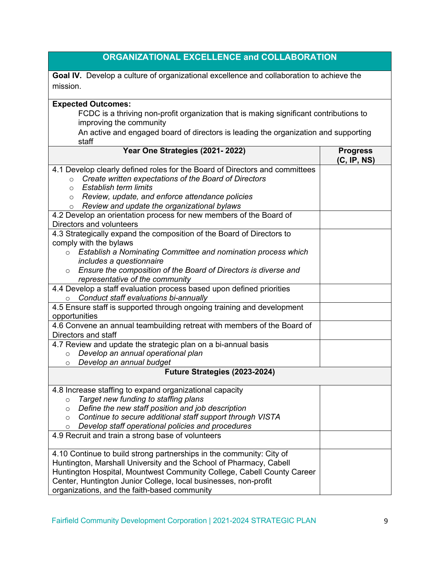| <b>ORGANIZATIONAL EXCELLENCE and COLLABORATION</b>                                                                                                                                                                                                                                                                                      |                                |  |  |  |
|-----------------------------------------------------------------------------------------------------------------------------------------------------------------------------------------------------------------------------------------------------------------------------------------------------------------------------------------|--------------------------------|--|--|--|
| Goal IV. Develop a culture of organizational excellence and collaboration to achieve the<br>mission.                                                                                                                                                                                                                                    |                                |  |  |  |
| <b>Expected Outcomes:</b>                                                                                                                                                                                                                                                                                                               |                                |  |  |  |
| FCDC is a thriving non-profit organization that is making significant contributions to<br>improving the community                                                                                                                                                                                                                       |                                |  |  |  |
| An active and engaged board of directors is leading the organization and supporting<br>staff                                                                                                                                                                                                                                            |                                |  |  |  |
| Year One Strategies (2021-2022)                                                                                                                                                                                                                                                                                                         | <b>Progress</b><br>(C, IP, NS) |  |  |  |
| 4.1 Develop clearly defined roles for the Board of Directors and committees<br>Create written expectations of the Board of Directors<br>$\circ$<br>Establish term limits<br>$\circ$<br>Review, update, and enforce attendance policies<br>$\circ$<br>Review and update the organizational bylaws<br>$\circ$                             |                                |  |  |  |
| 4.2 Develop an orientation process for new members of the Board of<br>Directors and volunteers                                                                                                                                                                                                                                          |                                |  |  |  |
| 4.3 Strategically expand the composition of the Board of Directors to<br>comply with the bylaws<br>Establish a Nominating Committee and nomination process which<br>$\circ$<br>includes a questionnaire                                                                                                                                 |                                |  |  |  |
| o Ensure the composition of the Board of Directors is diverse and<br>representative of the community                                                                                                                                                                                                                                    |                                |  |  |  |
| 4.4 Develop a staff evaluation process based upon defined priorities<br>Conduct staff evaluations bi-annually<br>$\circ$                                                                                                                                                                                                                |                                |  |  |  |
| 4.5 Ensure staff is supported through ongoing training and development<br>opportunities                                                                                                                                                                                                                                                 |                                |  |  |  |
| 4.6 Convene an annual teambuilding retreat with members of the Board of<br>Directors and staff                                                                                                                                                                                                                                          |                                |  |  |  |
| 4.7 Review and update the strategic plan on a bi-annual basis<br>Develop an annual operational plan<br>$\circ$<br>Develop an annual budget<br>$\circ$                                                                                                                                                                                   |                                |  |  |  |
| Future Strategies (2023-2024)                                                                                                                                                                                                                                                                                                           |                                |  |  |  |
| 4.8 Increase staffing to expand organizational capacity<br>Target new funding to staffing plans<br>$\circ$<br>Define the new staff position and job description<br>$\circ$<br>Continue to secure additional staff support through VISTA<br>$\circ$<br>Develop staff operational policies and procedures<br>$\circ$                      |                                |  |  |  |
| 4.9 Recruit and train a strong base of volunteers                                                                                                                                                                                                                                                                                       |                                |  |  |  |
| 4.10 Continue to build strong partnerships in the community: City of<br>Huntington, Marshall University and the School of Pharmacy, Cabell<br>Huntington Hospital, Mountwest Community College, Cabell County Career<br>Center, Huntington Junior College, local businesses, non-profit<br>organizations, and the faith-based community |                                |  |  |  |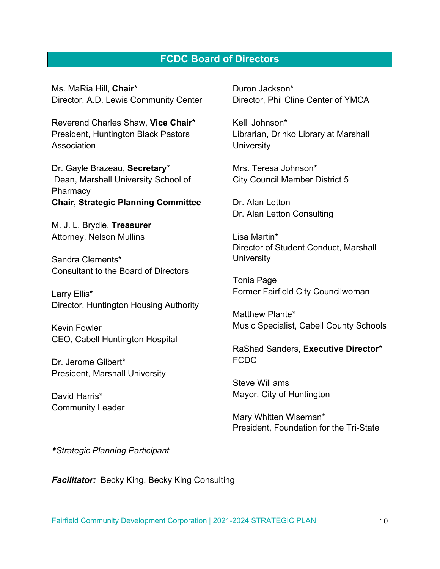### **FCDC Board of Directors**

Ms. MaRia Hill, **Chair**\* Director, A.D. Lewis Community Center

Reverend Charles Shaw, **Vice Chair**\* President, Huntington Black Pastors Association

Dr. Gayle Brazeau, **Secretary**\* Dean, Marshall University School of **Pharmacy Chair, Strategic Planning Committee**

M. J. L. Brydie, **Treasurer** Attorney, Nelson Mullins

Sandra Clements\* Consultant to the Board of Directors

Larry Ellis\* Director, Huntington Housing Authority

Kevin Fowler CEO, Cabell Huntington Hospital

Dr. Jerome Gilbert\* President, Marshall University

David Harris\* Community Leader Duron Jackson\* Director, Phil Cline Center of YMCA

Kelli Johnson\* Librarian, Drinko Library at Marshall **University** 

Mrs. Teresa Johnson\* City Council Member District 5

Dr. Alan Letton Dr. Alan Letton Consulting

Lisa Martin\* Director of Student Conduct, Marshall **University** 

Tonia Page Former Fairfield City Councilwoman

Matthew Plante\* Music Specialist, Cabell County Schools

RaShad Sanders, **Executive Director**\* FCDC

Steve Williams Mayor, City of Huntington

Mary Whitten Wiseman\* President, Foundation for the Tri-State

*\*Strategic Planning Participant* 

**Facilitator:** Becky King, Becky King Consulting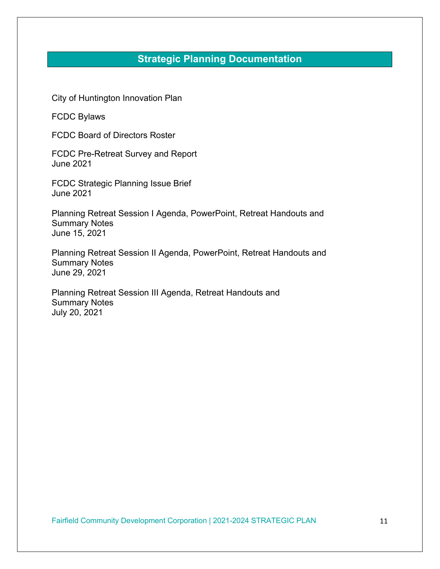# **Strategic Planning Documentation**

City of Huntington Innovation Plan

FCDC Bylaws

FCDC Board of Directors Roster

FCDC Pre-Retreat Survey and Report June 2021

FCDC Strategic Planning Issue Brief June 2021

Planning Retreat Session I Agenda, PowerPoint, Retreat Handouts and Summary Notes June 15, 2021

Planning Retreat Session II Agenda, PowerPoint, Retreat Handouts and Summary Notes June 29, 2021

Planning Retreat Session III Agenda, Retreat Handouts and Summary Notes July 20, 2021

Fairfield Community Development Corporation | 2021-2024 STRATEGIC PLAN 11